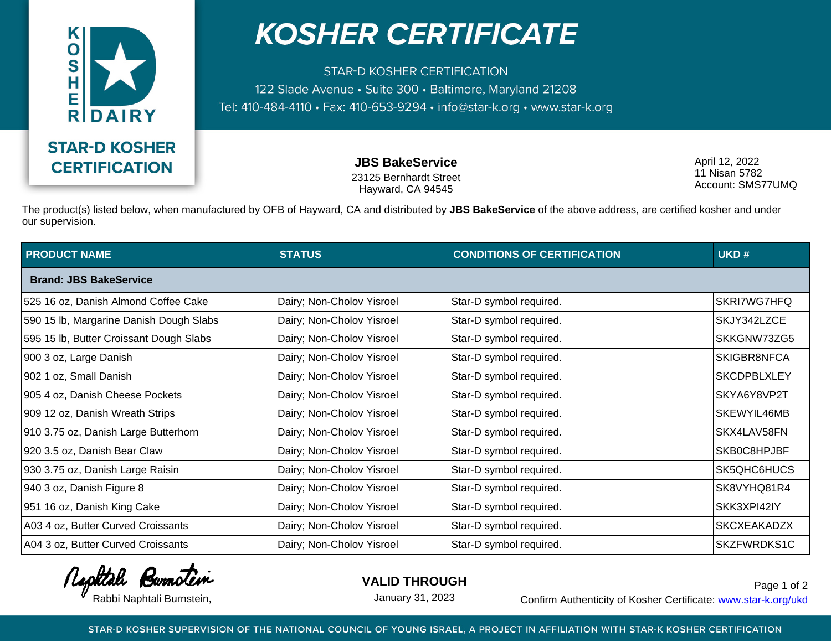

## **KOSHER CERTIFICATE**

**STAR-D KOSHER CERTIFICATION** 122 Slade Avenue · Suite 300 · Baltimore, Maryland 21208 Tel: 410-484-4110 · Fax: 410-653-9294 · info@star-k.org · www.star-k.org

> **JBS BakeService** 23125 Bernhardt Street Hayward, CA 94545

April 12, 2022 11 Nisan 5782 Account: SMS77UMQ

The product(s) listed below, when manufactured by OFB of Hayward, CA and distributed by **JBS BakeService** of the above address, are certified kosher and under our supervision.

| <b>PRODUCT NAME</b>                     | <b>STATUS</b>             | <b>CONDITIONS OF CERTIFICATION</b> | UKD#               |
|-----------------------------------------|---------------------------|------------------------------------|--------------------|
| <b>Brand: JBS BakeService</b>           |                           |                                    |                    |
| 525 16 oz, Danish Almond Coffee Cake    | Dairy; Non-Cholov Yisroel | Star-D symbol required.            | SKRI7WG7HFQ        |
| 590 15 lb, Margarine Danish Dough Slabs | Dairy; Non-Cholov Yisroel | Star-D symbol required.            | SKJY342LZCE        |
| 595 15 lb, Butter Croissant Dough Slabs | Dairy; Non-Cholov Yisroel | Star-D symbol required.            | SKKGNW73ZG5        |
| 900 3 oz, Large Danish                  | Dairy; Non-Cholov Yisroel | Star-D symbol required.            | SKIGBR8NFCA        |
| 902 1 oz, Small Danish                  | Dairy; Non-Cholov Yisroel | Star-D symbol required.            | <b>SKCDPBLXLEY</b> |
| 905 4 oz, Danish Cheese Pockets         | Dairy; Non-Cholov Yisroel | Star-D symbol required.            | SKYA6Y8VP2T        |
| 909 12 oz, Danish Wreath Strips         | Dairy; Non-Cholov Yisroel | Star-D symbol required.            | SKEWYIL46MB        |
| 910 3.75 oz, Danish Large Butterhorn    | Dairy; Non-Cholov Yisroel | Star-D symbol required.            | SKX4LAV58FN        |
| 920 3.5 oz, Danish Bear Claw            | Dairy; Non-Cholov Yisroel | Star-D symbol required.            | SKB0C8HPJBF        |
| 930 3.75 oz, Danish Large Raisin        | Dairy; Non-Cholov Yisroel | Star-D symbol required.            | SK5QHC6HUCS        |
| 940 3 oz, Danish Figure 8               | Dairy; Non-Cholov Yisroel | Star-D symbol required.            | SK8VYHQ81R4        |
| 951 16 oz, Danish King Cake             | Dairy; Non-Cholov Yisroel | Star-D symbol required.            | SKK3XPI42IY        |
| A03 4 oz, Butter Curved Croissants      | Dairy; Non-Cholov Yisroel | Star-D symbol required.            | <b>SKCXEAKADZX</b> |
| A04 3 oz, Butter Curved Croissants      | Dairy; Non-Cholov Yisroel | Star-D symbol required.            | SKZFWRDKS1C        |

Rephtale Bumotein

**VALID THROUGH**

January 31, 2023

Rabbi Naphtali Burnstein, Theorem 2003 Lanuary 31, 2023 Confirm Authenticity of Kosher Certificate: www.star-k.org/ukd Page 1 of 2

STAR-D KOSHER SUPERVISION OF THE NATIONAL COUNCIL OF YOUNG ISRAEL, A PROJECT IN AFFILIATION WITH STAR-K KOSHER CERTIFICATION